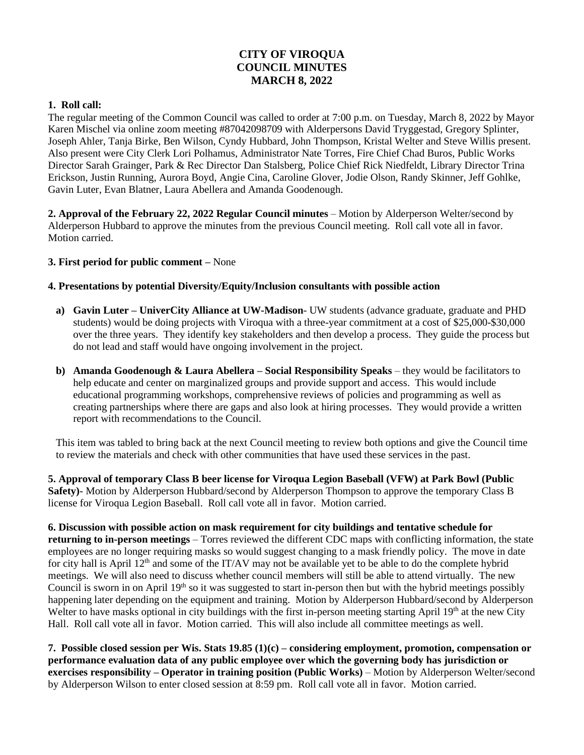# **CITY OF VIROQUA COUNCIL MINUTES MARCH 8, 2022**

### **1. Roll call:**

The regular meeting of the Common Council was called to order at 7:00 p.m. on Tuesday, March 8, 2022 by Mayor Karen Mischel via online zoom meeting #87042098709 with Alderpersons David Tryggestad, Gregory Splinter, Joseph Ahler, Tanja Birke, Ben Wilson, Cyndy Hubbard, John Thompson, Kristal Welter and Steve Willis present. Also present were City Clerk Lori Polhamus, Administrator Nate Torres, Fire Chief Chad Buros, Public Works Director Sarah Grainger, Park & Rec Director Dan Stalsberg, Police Chief Rick Niedfeldt, Library Director Trina Erickson, Justin Running, Aurora Boyd, Angie Cina, Caroline Glover, Jodie Olson, Randy Skinner, Jeff Gohlke, Gavin Luter, Evan Blatner, Laura Abellera and Amanda Goodenough.

**2. Approval of the February 22, 2022 Regular Council minutes** – Motion by Alderperson Welter/second by Alderperson Hubbard to approve the minutes from the previous Council meeting. Roll call vote all in favor. Motion carried.

### **3. First period for public comment –** None

### **4. Presentations by potential Diversity/Equity/Inclusion consultants with possible action**

- **a) Gavin Luter – UniverCity Alliance at UW-Madison** UW students (advance graduate, graduate and PHD students) would be doing projects with Viroqua with a three-year commitment at a cost of \$25,000-\$30,000 over the three years. They identify key stakeholders and then develop a process. They guide the process but do not lead and staff would have ongoing involvement in the project.
- **b) Amanda Goodenough & Laura Abellera – Social Responsibility Speaks** they would be facilitators to help educate and center on marginalized groups and provide support and access. This would include educational programming workshops, comprehensive reviews of policies and programming as well as creating partnerships where there are gaps and also look at hiring processes. They would provide a written report with recommendations to the Council.

This item was tabled to bring back at the next Council meeting to review both options and give the Council time to review the materials and check with other communities that have used these services in the past.

**5. Approval of temporary Class B beer license for Viroqua Legion Baseball (VFW) at Park Bowl (Public Safety)**- Motion by Alderperson Hubbard/second by Alderperson Thompson to approve the temporary Class B license for Viroqua Legion Baseball. Roll call vote all in favor. Motion carried.

**6. Discussion with possible action on mask requirement for city buildings and tentative schedule for returning to in-person meetings** – Torres reviewed the different CDC maps with conflicting information, the state employees are no longer requiring masks so would suggest changing to a mask friendly policy. The move in date for city hall is April 12<sup>th</sup> and some of the IT/AV may not be available yet to be able to do the complete hybrid meetings. We will also need to discuss whether council members will still be able to attend virtually. The new Council is sworn in on April 19<sup>th</sup> so it was suggested to start in-person then but with the hybrid meetings possibly happening later depending on the equipment and training. Motion by Alderperson Hubbard/second by Alderperson Welter to have masks optional in city buildings with the first in-person meeting starting April  $19<sup>th</sup>$  at the new City Hall. Roll call vote all in favor. Motion carried. This will also include all committee meetings as well.

**7. Possible closed session per Wis. Stats 19.85 (1)(c) – considering employment, promotion, compensation or performance evaluation data of any public employee over which the governing body has jurisdiction or exercises responsibility – Operator in training position (Public Works)** – Motion by Alderperson Welter/second by Alderperson Wilson to enter closed session at 8:59 pm. Roll call vote all in favor. Motion carried.